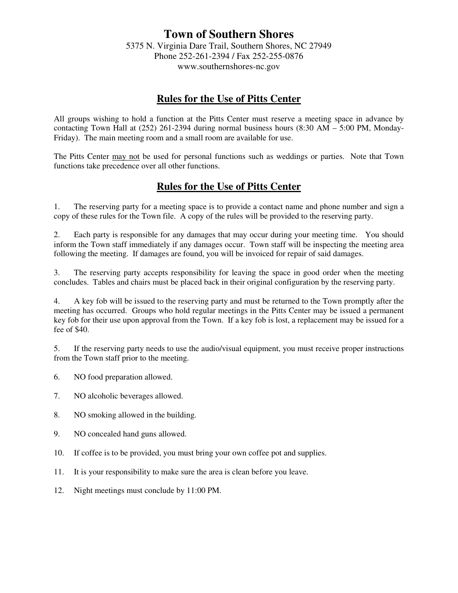# **Town of Southern Shores**

5375 N. Virginia Dare Trail, Southern Shores, NC 27949 Phone 252-261-2394 / Fax 252-255-0876 www.southernshores-nc.gov

## **Rules for the Use of Pitts Center**

All groups wishing to hold a function at the Pitts Center must reserve a meeting space in advance by contacting Town Hall at (252) 261-2394 during normal business hours (8:30 AM – 5:00 PM, Monday-Friday). The main meeting room and a small room are available for use.

The Pitts Center may not be used for personal functions such as weddings or parties. Note that Town functions take precedence over all other functions.

# **Rules for the Use of Pitts Center**

1. The reserving party for a meeting space is to provide a contact name and phone number and sign a copy of these rules for the Town file. A copy of the rules will be provided to the reserving party.

2. Each party is responsible for any damages that may occur during your meeting time. You should inform the Town staff immediately if any damages occur. Town staff will be inspecting the meeting area following the meeting. If damages are found, you will be invoiced for repair of said damages.

3. The reserving party accepts responsibility for leaving the space in good order when the meeting concludes. Tables and chairs must be placed back in their original configuration by the reserving party.

4. A key fob will be issued to the reserving party and must be returned to the Town promptly after the meeting has occurred. Groups who hold regular meetings in the Pitts Center may be issued a permanent key fob for their use upon approval from the Town. If a key fob is lost, a replacement may be issued for a fee of \$40.

5. If the reserving party needs to use the audio/visual equipment, you must receive proper instructions from the Town staff prior to the meeting.

- 6. NO food preparation allowed.
- 7. NO alcoholic beverages allowed.
- 8. NO smoking allowed in the building.
- 9. NO concealed hand guns allowed.
- 10. If coffee is to be provided, you must bring your own coffee pot and supplies.
- 11. It is your responsibility to make sure the area is clean before you leave.
- 12. Night meetings must conclude by 11:00 PM.